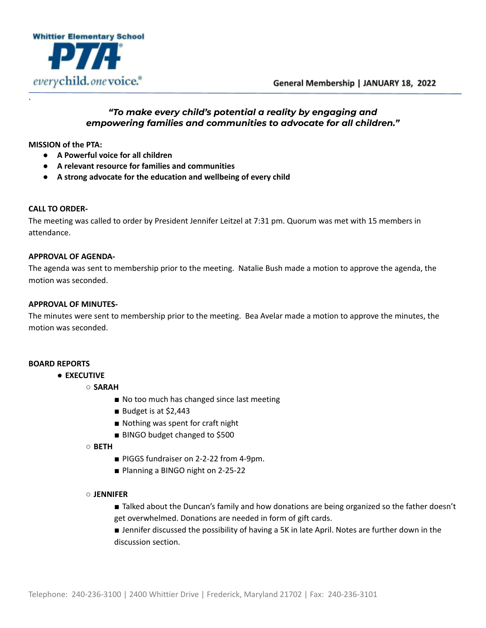



# *"To make every child's potential a reality by engaging and empowering families and communities to advocate for all children."*

**MISSION of the PTA:**

`

- **● A Powerful voice for all children**
- **● A relevant resource for families and communities**
- **● A strong advocate for the education and wellbeing of every child**

### **CALL TO ORDER-**

The meeting was called to order by President Jennifer Leitzel at 7:31 pm. Quorum was met with 15 members in attendance.

### **APPROVAL OF AGENDA-**

The agenda was sent to membership prior to the meeting. Natalie Bush made a motion to approve the agenda, the motion was seconded.

### **APPROVAL OF MINUTES-**

The minutes were sent to membership prior to the meeting. Bea Avelar made a motion to approve the minutes, the motion was seconded.

## **BOARD REPORTS**

- **EXECUTIVE**
	- **SARAH**
		- No too much has changed since last meeting
		- Budget is at \$2,443
		- Nothing was spent for craft night
		- BINGO budget changed to \$500
	- **BETH**
		- PIGGS fundraiser on 2-2-22 from 4-9pm.
		- Planning a BINGO night on 2-25-22

#### ○ **JENNIFER**

- Talked about the Duncan's family and how donations are being organized so the father doesn't get overwhelmed. Donations are needed in form of gift cards.
- Jennifer discussed the possibility of having a 5K in late April. Notes are further down in the discussion section.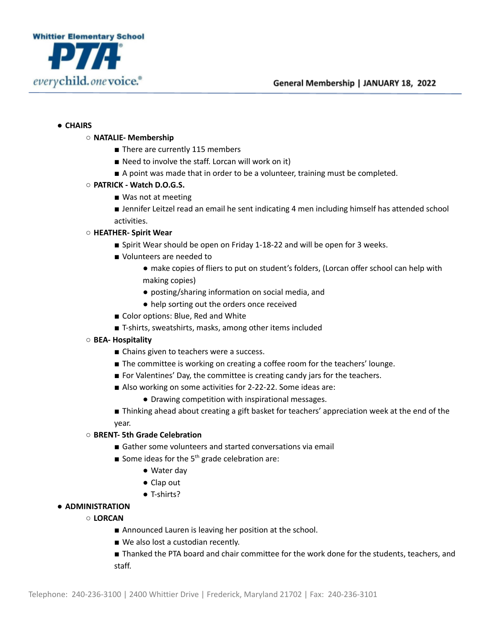

## ● **CHAIRS**

## ○ **NATALIE- Membership**

- There are currently 115 members
- Need to involve the staff. Lorcan will work on it)
- A point was made that in order to be a volunteer, training must be completed.
- **PATRICK - Watch D.O.G.S.**
	- Was not at meeting
	- Jennifer Leitzel read an email he sent indicating 4 men including himself has attended school activities.

## ○ **HEATHER- Spirit Wear**

- Spirit Wear should be open on Friday 1-18-22 and will be open for 3 weeks.
- Volunteers are needed to
	- make copies of fliers to put on student's folders, (Lorcan offer school can help with making copies)
	- posting/sharing information on social media, and
	- help sorting out the orders once received
- Color options: Blue, Red and White
- T-shirts, sweatshirts, masks, among other items included
- **BEA- Hospitality**
	- Chains given to teachers were a success.
	- The committee is working on creating a coffee room for the teachers' lounge.
	- For Valentines' Day, the committee is creating candy jars for the teachers.
	- Also working on some activities for 2-22-22. Some ideas are:
		- Drawing competition with inspirational messages.
	- Thinking ahead about creating a gift basket for teachers' appreciation week at the end of the year.

## ○ **BRENT- 5th Grade Celebration**

- Gather some volunteers and started conversations via email
- Some ideas for the  $5<sup>th</sup>$  grade celebration are:
	- Water day
	- Clap out
	- T-shirts?
- **ADMINISTRATION**
	- **LORCAN**
		- Announced Lauren is leaving her position at the school.
		- We also lost a custodian recently.
		- Thanked the PTA board and chair committee for the work done for the students, teachers, and staff.